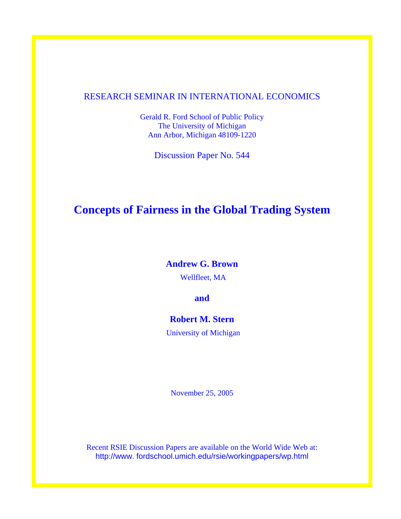# RESEARCH SEMINAR IN INTERNATIONAL ECONOMICS

Gerald R. Ford School of Public Policy The University of Michigan Ann Arbor, Michigan 48109-1220

Discussion Paper No. 544

# **Concepts of Fairness in the Global Trading System**

# **Andrew G. Brown**

Wellfleet, MA

**and** 

# **Robert M. Stern**

University of Michigan

November 25, 2005

Recent RSIE Discussion Papers are available on the World Wide Web at: http://www. fordschool.umich.edu/rsie/workingpapers/wp.html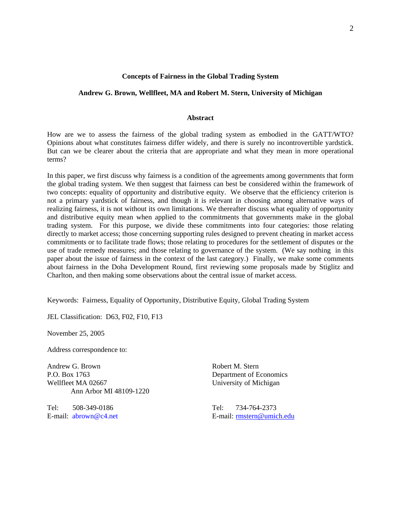#### **Concepts of Fairness in the Global Trading System**

# **Andrew G. Brown, Wellfleet, MA and Robert M. Stern, University of Michigan**

#### **Abstract**

How are we to assess the fairness of the global trading system as embodied in the GATT/WTO? Opinions about what constitutes fairness differ widely, and there is surely no incontrovertible yardstick. But can we be clearer about the criteria that are appropriate and what they mean in more operational terms?

In this paper, we first discuss why fairness is a condition of the agreements among governments that form the global trading system. We then suggest that fairness can best be considered within the framework of two concepts: equality of opportunity and distributive equity. We observe that the efficiency criterion is not a primary yardstick of fairness, and though it is relevant in choosing among alternative ways of realizing fairness, it is not without its own limitations. We thereafter discuss what equality of opportunity and distributive equity mean when applied to the commitments that governments make in the global trading system. For this purpose, we divide these commitments into four categories: those relating directly to market access; those concerning supporting rules designed to prevent cheating in market access commitments or to facilitate trade flows; those relating to procedures for the settlement of disputes or the use of trade remedy measures; and those relating to governance of the system. (We say nothing in this paper about the issue of fairness in the context of the last category.) Finally, we make some comments about fairness in the Doha Development Round, first reviewing some proposals made by Stiglitz and Charlton, and then making some observations about the central issue of market access.

Keywords: Fairness, Equality of Opportunity, Distributive Equity, Global Trading System

JEL Classification: D63, F02, F10, F13

November 25, 2005

Address correspondence to:

Andrew G. Brown **Robert M. Stern** P.O. Box 1763 Department of Economics Wellfleet MA 02667 University of Michigan Ann Arbor MI 48109-1220

Tel: 508-349-0186 Tel: 734-764-2373

E-mail: [abrown@c4.net](mailto:abrown@c4.net) E-mail: [rmstern@umich.edu](mailto:rmstern@umich.edu)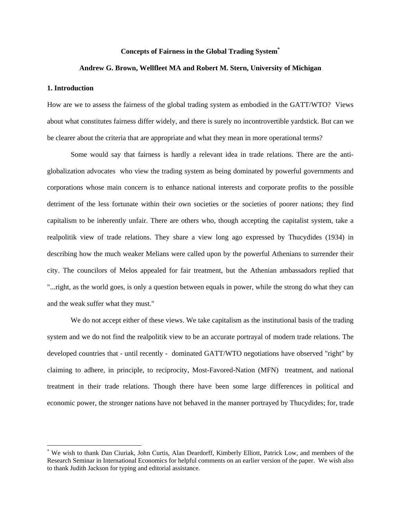# **Concepts of Fairness in the Global Trading Syste[m\\*](#page-2-0)**

### **Andrew G. Brown, Wellfleet MA and Robert M. Stern, University of Michigan**

#### **1. Introduction**

 $\overline{a}$ 

How are we to assess the fairness of the global trading system as embodied in the GATT/WTO? Views about what constitutes fairness differ widely, and there is surely no incontrovertible yardstick. But can we be clearer about the criteria that are appropriate and what they mean in more operational terms?

Some would say that fairness is hardly a relevant idea in trade relations. There are the antiglobalization advocates who view the trading system as being dominated by powerful governments and corporations whose main concern is to enhance national interests and corporate profits to the possible detriment of the less fortunate within their own societies or the societies of poorer nations; they find capitalism to be inherently unfair. There are others who, though accepting the capitalist system, take a realpolitik view of trade relations. They share a view long ago expressed by Thucydides (1934) in describing how the much weaker Melians were called upon by the powerful Athenians to surrender their city. The councilors of Melos appealed for fair treatment, but the Athenian ambassadors replied that "...right, as the world goes, is only a question between equals in power, while the strong do what they can and the weak suffer what they must."

We do not accept either of these views. We take capitalism as the institutional basis of the trading system and we do not find the realpolitik view to be an accurate portrayal of modern trade relations. The developed countries that - until recently - dominated GATT/WTO negotiations have observed "right" by claiming to adhere, in principle, to reciprocity, Most-Favored-Nation (MFN) treatment, and national treatment in their trade relations. Though there have been some large differences in political and economic power, the stronger nations have not behaved in the manner portrayed by Thucydides; for, trade

<span id="page-2-0"></span><sup>\*</sup> We wish to thank Dan Ciuriak, John Curtis, Alan Deardorff, Kimberly Elliott, Patrick Low, and members of the Research Seminar in International Economics for helpful comments on an earlier version of the paper. We wish also to thank Judith Jackson for typing and editorial assistance.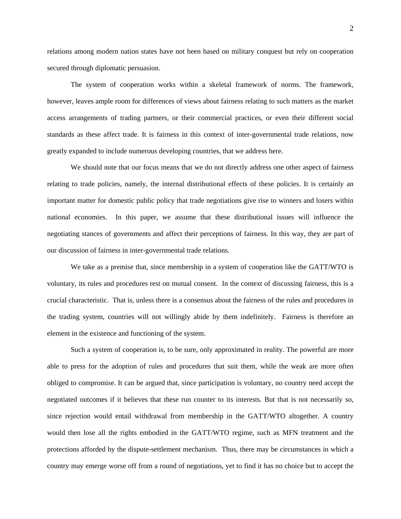relations among modern nation states have not been based on military conquest but rely on cooperation secured through diplomatic persuasion.

The system of cooperation works within a skeletal framework of norms. The framework, however, leaves ample room for differences of views about fairness relating to such matters as the market access arrangements of trading partners, or their commercial practices, or even their different social standards as these affect trade. It is fairness in this context of inter-governmental trade relations, now greatly expanded to include numerous developing countries, that we address here.

We should note that our focus means that we do not directly address one other aspect of fairness relating to trade policies, namely, the internal distributional effects of these policies. It is certainly an important matter for domestic public policy that trade negotiations give rise to winners and losers within national economies. In this paper, we assume that these distributional issues will influence the negotiating stances of governments and affect their perceptions of fairness. In this way, they are part of our discussion of fairness in inter-governmental trade relations.

We take as a premise that, since membership in a system of cooperation like the GATT/WTO is voluntary, its rules and procedures rest on mutual consent. In the context of discussing fairness, this is a crucial characteristic. That is, unless there is a consensus about the fairness of the rules and procedures in the trading system, countries will not willingly abide by them indefinitely. Fairness is therefore an element in the existence and functioning of the system.

Such a system of cooperation is, to be sure, only approximated in reality. The powerful are more able to press for the adoption of rules and procedures that suit them, while the weak are more often obliged to compromise. It can be argued that, since participation is voluntary, no country need accept the negotiated outcomes if it believes that these run counter to its interests. But that is not necessarily so, since rejection would entail withdrawal from membership in the GATT/WTO altogether. A country would then lose all the rights embodied in the GATT/WTO regime, such as MFN treatment and the protections afforded by the dispute-settlement mechanism. Thus, there may be circumstances in which a country may emerge worse off from a round of negotiations, yet to find it has no choice but to accept the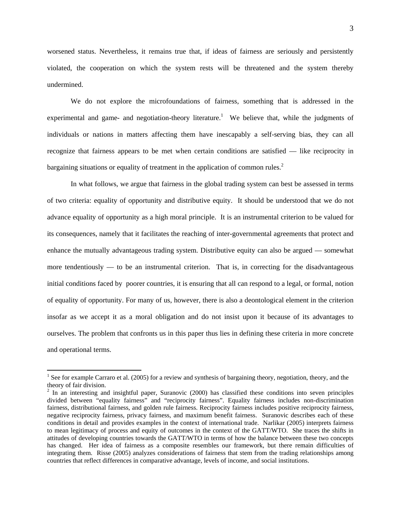worsened status. Nevertheless, it remains true that, if ideas of fairness are seriously and persistently violated, the cooperation on which the system rests will be threatened and the system thereby undermined.

We do not explore the microfoundations of fairness, something that is addressed in the experimental and game- and negotiation-theory literature.<sup>[1](#page-4-0)</sup> We believe that, while the judgments of individuals or nations in matters affecting them have inescapably a self-serving bias, they can all recognize that fairness appears to be met when certain conditions are satisfied — like reciprocity in bargaining situations or equality of treatment in the application of common rules. $^2$ 

In what follows, we argue that fairness in the global trading system can best be assessed in terms of two criteria: equality of opportunity and distributive equity. It should be understood that we do not advance equality of opportunity as a high moral principle. It is an instrumental criterion to be valued for its consequences, namely that it facilitates the reaching of inter-governmental agreements that protect and enhance the mutually advantageous trading system. Distributive equity can also be argued — somewhat more tendentiously — to be an instrumental criterion. That is, in correcting for the disadvantageous initial conditions faced by poorer countries, it is ensuring that all can respond to a legal, or formal, notion of equality of opportunity. For many of us, however, there is also a deontological element in the criterion insofar as we accept it as a moral obligation and do not insist upon it because of its advantages to ourselves. The problem that confronts us in this paper thus lies in defining these criteria in more concrete and operational terms.

<span id="page-4-0"></span><sup>&</sup>lt;sup>1</sup> See for example Carraro et al. (2005) for a review and synthesis of bargaining theory, negotiation, theory, and the theory of fair division. 2

<span id="page-4-1"></span> $2$  In an interesting and insightful paper, Suranovic (2000) has classified these conditions into seven principles divided between "equality fairness" and "reciprocity fairness". Equality fairness includes non-discrimination fairness, distributional fairness, and golden rule fairness. Reciprocity fairness includes positive reciprocity fairness, negative reciprocity fairness, privacy fairness, and maximum benefit fairness. Suranovic describes each of these conditions in detail and provides examples in the context of international trade. Narlikar (2005) interprets fairness to mean legitimacy of process and equity of outcomes in the context of the GATT/WTO. She traces the shifts in attitudes of developing countries towards the GATT/WTO in terms of how the balance between these two concepts has changed. Her idea of fairness as a composite resembles our framework, but there remain difficulties of integrating them. Risse (2005) analyzes considerations of fairness that stem from the trading relationships among countries that reflect differences in comparative advantage, levels of income, and social institutions.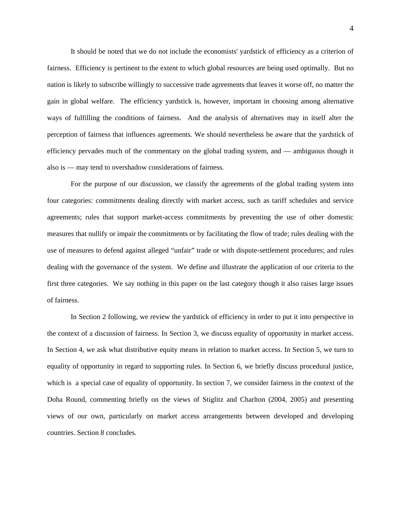It should be noted that we do not include the economists' yardstick of efficiency as a criterion of fairness. Efficiency is pertinent to the extent to which global resources are being used optimally. But no nation is likely to subscribe willingly to successive trade agreements that leaves it worse off, no matter the gain in global welfare. The efficiency yardstick is, however, important in choosing among alternative ways of fulfilling the conditions of fairness. And the analysis of alternatives may in itself alter the perception of fairness that influences agreements. We should nevertheless be aware that the yardstick of efficiency pervades much of the commentary on the global trading system, and — ambiguous though it also is — may tend to overshadow considerations of fairness.

For the purpose of our discussion, we classify the agreements of the global trading system into four categories: commitments dealing directly with market access, such as tariff schedules and service agreements; rules that support market-access commitments by preventing the use of other domestic measures that nullify or impair the commitments or by facilitating the flow of trade; rules dealing with the use of measures to defend against alleged "unfair" trade or with dispute-settlement procedures; and rules dealing with the governance of the system. We define and illustrate the application of our criteria to the first three categories. We say nothing in this paper on the last category though it also raises large issues of fairness.

In Section 2 following, we review the yardstick of efficiency in order to put it into perspective in the context of a discussion of fairness. In Section 3, we discuss equality of opportunity in market access. In Section 4, we ask what distributive equity means in relation to market access. In Section 5, we turn to equality of opportunity in regard to supporting rules. In Section 6, we briefly discuss procedural justice, which is a special case of equality of opportunity. In section 7, we consider fairness in the context of the Doha Round, commenting briefly on the views of Stiglitz and Charlton (2004, 2005) and presenting views of our own, particularly on market access arrangements between developed and developing countries. Section 8 concludes.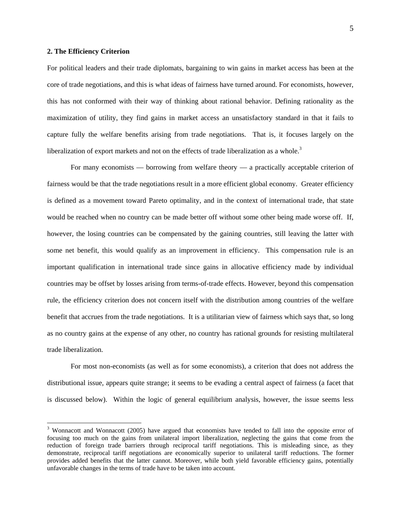### **2. The Efficiency Criterion**

 $\overline{a}$ 

For political leaders and their trade diplomats, bargaining to win gains in market access has been at the core of trade negotiations, and this is what ideas of fairness have turned around. For economists, however, this has not conformed with their way of thinking about rational behavior. Defining rationality as the maximization of utility, they find gains in market access an unsatisfactory standard in that it fails to capture fully the welfare benefits arising from trade negotiations. That is, it focuses largely on the liberalization of export markets and not on the effects of trade liberalization as a whole.<sup>[3](#page-6-0)</sup>

For many economists — borrowing from welfare theory — a practically acceptable criterion of fairness would be that the trade negotiations result in a more efficient global economy. Greater efficiency is defined as a movement toward Pareto optimality, and in the context of international trade, that state would be reached when no country can be made better off without some other being made worse off. If, however, the losing countries can be compensated by the gaining countries, still leaving the latter with some net benefit, this would qualify as an improvement in efficiency. This compensation rule is an important qualification in international trade since gains in allocative efficiency made by individual countries may be offset by losses arising from terms-of-trade effects. However, beyond this compensation rule, the efficiency criterion does not concern itself with the distribution among countries of the welfare benefit that accrues from the trade negotiations. It is a utilitarian view of fairness which says that, so long as no country gains at the expense of any other, no country has rational grounds for resisting multilateral trade liberalization.

For most non-economists (as well as for some economists), a criterion that does not address the distributional issue, appears quite strange; it seems to be evading a central aspect of fairness (a facet that is discussed below). Within the logic of general equilibrium analysis, however, the issue seems less

<span id="page-6-0"></span><sup>&</sup>lt;sup>3</sup> Wonnacott and Wonnacott (2005) have argued that economists have tended to fall into the opposite error of focusing too much on the gains from unilateral import liberalization, neglecting the gains that come from the reduction of foreign trade barriers through reciprocal tariff negotiations. This is misleading since, as they demonstrate, reciprocal tariff negotiations are economically superior to unilateral tariff reductions. The former provides added benefits that the latter cannot. Moreover, while both yield favorable efficiency gains, potentially unfavorable changes in the terms of trade have to be taken into account.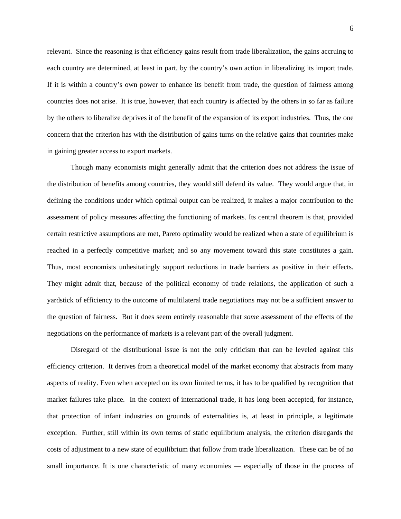relevant. Since the reasoning is that efficiency gains result from trade liberalization, the gains accruing to each country are determined, at least in part, by the country's own action in liberalizing its import trade. If it is within a country's own power to enhance its benefit from trade, the question of fairness among countries does not arise. It is true, however, that each country is affected by the others in so far as failure by the others to liberalize deprives it of the benefit of the expansion of its export industries. Thus, the one concern that the criterion has with the distribution of gains turns on the relative gains that countries make in gaining greater access to export markets.

Though many economists might generally admit that the criterion does not address the issue of the distribution of benefits among countries, they would still defend its value. They would argue that, in defining the conditions under which optimal output can be realized, it makes a major contribution to the assessment of policy measures affecting the functioning of markets. Its central theorem is that, provided certain restrictive assumptions are met, Pareto optimality would be realized when a state of equilibrium is reached in a perfectly competitive market; and so any movement toward this state constitutes a gain. Thus, most economists unhesitatingly support reductions in trade barriers as positive in their effects. They might admit that, because of the political economy of trade relations, the application of such a yardstick of efficiency to the outcome of multilateral trade negotiations may not be a sufficient answer to the question of fairness. But it does seem entirely reasonable that *some* assessment of the effects of the negotiations on the performance of markets is a relevant part of the overall judgment.

Disregard of the distributional issue is not the only criticism that can be leveled against this efficiency criterion. It derives from a theoretical model of the market economy that abstracts from many aspects of reality. Even when accepted on its own limited terms, it has to be qualified by recognition that market failures take place. In the context of international trade, it has long been accepted, for instance, that protection of infant industries on grounds of externalities is, at least in principle, a legitimate exception. Further, still within its own terms of static equilibrium analysis, the criterion disregards the costs of adjustment to a new state of equilibrium that follow from trade liberalization. These can be of no small importance. It is one characteristic of many economies — especially of those in the process of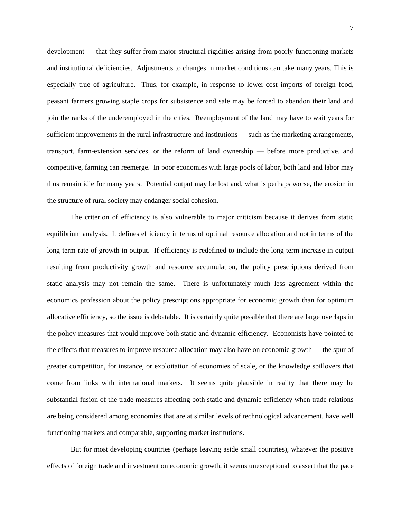development — that they suffer from major structural rigidities arising from poorly functioning markets and institutional deficiencies. Adjustments to changes in market conditions can take many years. This is especially true of agriculture. Thus, for example, in response to lower-cost imports of foreign food, peasant farmers growing staple crops for subsistence and sale may be forced to abandon their land and join the ranks of the underemployed in the cities. Reemployment of the land may have to wait years for sufficient improvements in the rural infrastructure and institutions — such as the marketing arrangements, transport, farm-extension services, or the reform of land ownership — before more productive, and competitive, farming can reemerge. In poor economies with large pools of labor, both land and labor may thus remain idle for many years. Potential output may be lost and, what is perhaps worse, the erosion in the structure of rural society may endanger social cohesion.

The criterion of efficiency is also vulnerable to major criticism because it derives from static equilibrium analysis. It defines efficiency in terms of optimal resource allocation and not in terms of the long-term rate of growth in output. If efficiency is redefined to include the long term increase in output resulting from productivity growth and resource accumulation, the policy prescriptions derived from static analysis may not remain the same. There is unfortunately much less agreement within the economics profession about the policy prescriptions appropriate for economic growth than for optimum allocative efficiency, so the issue is debatable. It is certainly quite possible that there are large overlaps in the policy measures that would improve both static and dynamic efficiency. Economists have pointed to the effects that measures to improve resource allocation may also have on economic growth — the spur of greater competition, for instance, or exploitation of economies of scale, or the knowledge spillovers that come from links with international markets. It seems quite plausible in reality that there may be substantial fusion of the trade measures affecting both static and dynamic efficiency when trade relations are being considered among economies that are at similar levels of technological advancement, have well functioning markets and comparable, supporting market institutions.

But for most developing countries (perhaps leaving aside small countries), whatever the positive effects of foreign trade and investment on economic growth, it seems unexceptional to assert that the pace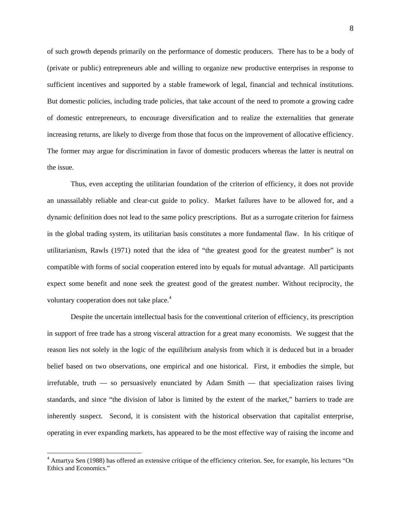of such growth depends primarily on the performance of domestic producers. There has to be a body of (private or public) entrepreneurs able and willing to organize new productive enterprises in response to sufficient incentives and supported by a stable framework of legal, financial and technical institutions. But domestic policies, including trade policies, that take account of the need to promote a growing cadre of domestic entrepreneurs, to encourage diversification and to realize the externalities that generate increasing returns, are likely to diverge from those that focus on the improvement of allocative efficiency. The former may argue for discrimination in favor of domestic producers whereas the latter is neutral on the issue.

Thus, even accepting the utilitarian foundation of the criterion of efficiency, it does not provide an unassailably reliable and clear-cut guide to policy. Market failures have to be allowed for, and a dynamic definition does not lead to the same policy prescriptions. But as a surrogate criterion for fairness in the global trading system, its utilitarian basis constitutes a more fundamental flaw. In his critique of utilitarianism, Rawls (1971) noted that the idea of "the greatest good for the greatest number" is not compatible with forms of social cooperation entered into by equals for mutual advantage. All participants expect some benefit and none seek the greatest good of the greatest number. Without reciprocity, the voluntarycooperation does not take place.<sup>4</sup>

Despite the uncertain intellectual basis for the conventional criterion of efficiency, its prescription in support of free trade has a strong visceral attraction for a great many economists. We suggest that the reason lies not solely in the logic of the equilibrium analysis from which it is deduced but in a broader belief based on two observations, one empirical and one historical. First, it embodies the simple, but irrefutable, truth — so persuasively enunciated by Adam Smith — that specialization raises living standards, and since "the division of labor is limited by the extent of the market," barriers to trade are inherently suspect. Second, it is consistent with the historical observation that capitalist enterprise, operating in ever expanding markets, has appeared to be the most effective way of raising the income and

<span id="page-9-0"></span><sup>&</sup>lt;sup>4</sup> Amartya Sen (1988) has offered an extensive critique of the efficiency criterion. See, for example, his lectures "On Ethics and Economics."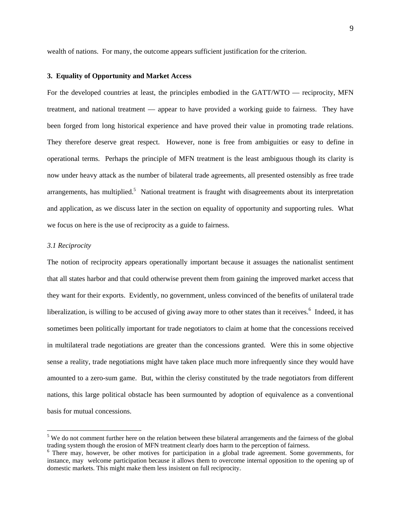wealth of nations. For many, the outcome appears sufficient justification for the criterion.

# **3. Equality of Opportunity and Market Access**

For the developed countries at least, the principles embodied in the GATT/WTO — reciprocity, MFN treatment, and national treatment — appear to have provided a working guide to fairness. They have been forged from long historical experience and have proved their value in promoting trade relations. They therefore deserve great respect. However, none is free from ambiguities or easy to define in operational terms. Perhaps the principle of MFN treatment is the least ambiguous though its clarity is now under heavy attack as the number of bilateral trade agreements, all presented ostensibly as free trade arrangements, has multiplied.<sup>5</sup> National treatment is fraught with disagreements about its interpretation and application, as we discuss later in the section on equality of opportunity and supporting rules. What we focus on here is the use of reciprocity as a guide to fairness.

# *3.1 Reciprocity*

 $\overline{a}$ 

The notion of reciprocity appears operationally important because it assuages the nationalist sentiment that all states harbor and that could otherwise prevent them from gaining the improved market access that they want for their exports. Evidently, no government, unless convinced of the benefits of unilateral trade liberalization,is willing to be accused of giving away more to other states than it receives.<sup>6</sup> Indeed, it has sometimes been politically important for trade negotiators to claim at home that the concessions received in multilateral trade negotiations are greater than the concessions granted. Were this in some objective sense a reality, trade negotiations might have taken place much more infrequently since they would have amounted to a zero-sum game. But, within the clerisy constituted by the trade negotiators from different nations, this large political obstacle has been surmounted by adoption of equivalence as a conventional basis for mutual concessions.

<span id="page-10-0"></span> $<sup>5</sup>$  We do not comment further here on the relation between these bilateral arrangements and the fairness of the global</sup> trading system though the erosion of MFN treatment clearly does harm to the perception of fairness. 6

<span id="page-10-1"></span><sup>&</sup>lt;sup>6</sup> There may, however, be other motives for participation in a global trade agreement. Some governments, for instance, may welcome participation because it allows them to overcome internal opposition to the opening up of domestic markets. This might make them less insistent on full reciprocity.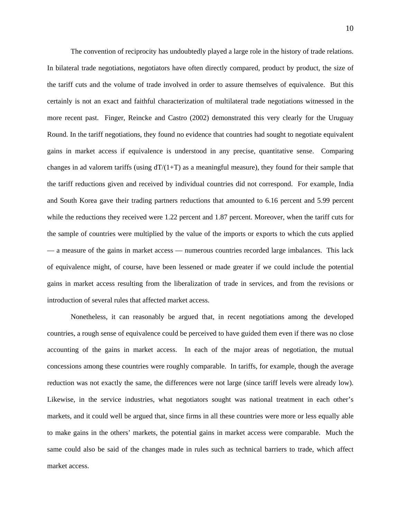The convention of reciprocity has undoubtedly played a large role in the history of trade relations. In bilateral trade negotiations, negotiators have often directly compared, product by product, the size of the tariff cuts and the volume of trade involved in order to assure themselves of equivalence. But this certainly is not an exact and faithful characterization of multilateral trade negotiations witnessed in the more recent past. Finger, Reincke and Castro (2002) demonstrated this very clearly for the Uruguay Round. In the tariff negotiations, they found no evidence that countries had sought to negotiate equivalent gains in market access if equivalence is understood in any precise, quantitative sense. Comparing changes in ad valorem tariffs (using  $dT/(1+T)$  as a meaningful measure), they found for their sample that the tariff reductions given and received by individual countries did not correspond. For example, India and South Korea gave their trading partners reductions that amounted to 6.16 percent and 5.99 percent while the reductions they received were 1.22 percent and 1.87 percent. Moreover, when the tariff cuts for the sample of countries were multiplied by the value of the imports or exports to which the cuts applied — a measure of the gains in market access — numerous countries recorded large imbalances. This lack of equivalence might, of course, have been lessened or made greater if we could include the potential gains in market access resulting from the liberalization of trade in services, and from the revisions or introduction of several rules that affected market access.

Nonetheless, it can reasonably be argued that, in recent negotiations among the developed countries, a rough sense of equivalence could be perceived to have guided them even if there was no close accounting of the gains in market access. In each of the major areas of negotiation, the mutual concessions among these countries were roughly comparable. In tariffs, for example, though the average reduction was not exactly the same, the differences were not large (since tariff levels were already low). Likewise, in the service industries, what negotiators sought was national treatment in each other's markets, and it could well be argued that, since firms in all these countries were more or less equally able to make gains in the others' markets, the potential gains in market access were comparable. Much the same could also be said of the changes made in rules such as technical barriers to trade, which affect market access.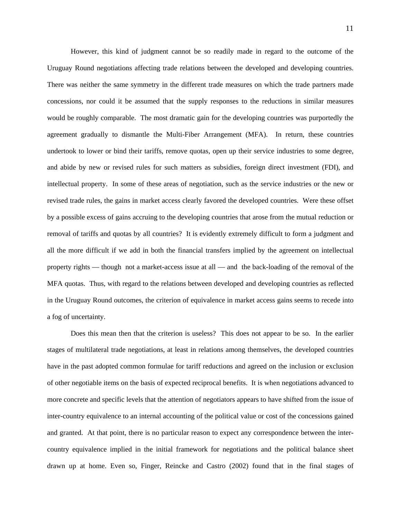However, this kind of judgment cannot be so readily made in regard to the outcome of the Uruguay Round negotiations affecting trade relations between the developed and developing countries. There was neither the same symmetry in the different trade measures on which the trade partners made concessions, nor could it be assumed that the supply responses to the reductions in similar measures would be roughly comparable. The most dramatic gain for the developing countries was purportedly the agreement gradually to dismantle the Multi-Fiber Arrangement (MFA). In return, these countries undertook to lower or bind their tariffs, remove quotas, open up their service industries to some degree, and abide by new or revised rules for such matters as subsidies, foreign direct investment (FDI), and intellectual property. In some of these areas of negotiation, such as the service industries or the new or revised trade rules, the gains in market access clearly favored the developed countries. Were these offset by a possible excess of gains accruing to the developing countries that arose from the mutual reduction or removal of tariffs and quotas by all countries? It is evidently extremely difficult to form a judgment and all the more difficult if we add in both the financial transfers implied by the agreement on intellectual property rights — though not a market-access issue at all — and the back-loading of the removal of the MFA quotas. Thus, with regard to the relations between developed and developing countries as reflected in the Uruguay Round outcomes, the criterion of equivalence in market access gains seems to recede into a fog of uncertainty.

Does this mean then that the criterion is useless? This does not appear to be so. In the earlier stages of multilateral trade negotiations, at least in relations among themselves, the developed countries have in the past adopted common formulae for tariff reductions and agreed on the inclusion or exclusion of other negotiable items on the basis of expected reciprocal benefits. It is when negotiations advanced to more concrete and specific levels that the attention of negotiators appears to have shifted from the issue of inter-country equivalence to an internal accounting of the political value or cost of the concessions gained and granted. At that point, there is no particular reason to expect any correspondence between the intercountry equivalence implied in the initial framework for negotiations and the political balance sheet drawn up at home. Even so, Finger, Reincke and Castro (2002) found that in the final stages of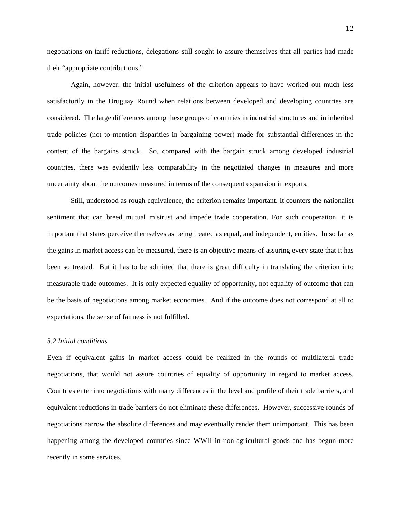negotiations on tariff reductions, delegations still sought to assure themselves that all parties had made their "appropriate contributions."

Again, however, the initial usefulness of the criterion appears to have worked out much less satisfactorily in the Uruguay Round when relations between developed and developing countries are considered. The large differences among these groups of countries in industrial structures and in inherited trade policies (not to mention disparities in bargaining power) made for substantial differences in the content of the bargains struck. So, compared with the bargain struck among developed industrial countries, there was evidently less comparability in the negotiated changes in measures and more uncertainty about the outcomes measured in terms of the consequent expansion in exports.

Still, understood as rough equivalence, the criterion remains important. It counters the nationalist sentiment that can breed mutual mistrust and impede trade cooperation. For such cooperation, it is important that states perceive themselves as being treated as equal, and independent, entities. In so far as the gains in market access can be measured, there is an objective means of assuring every state that it has been so treated. But it has to be admitted that there is great difficulty in translating the criterion into measurable trade outcomes. It is only expected equality of opportunity, not equality of outcome that can be the basis of negotiations among market economies. And if the outcome does not correspond at all to expectations, the sense of fairness is not fulfilled.

#### *3.2 Initial conditions*

Even if equivalent gains in market access could be realized in the rounds of multilateral trade negotiations, that would not assure countries of equality of opportunity in regard to market access. Countries enter into negotiations with many differences in the level and profile of their trade barriers, and equivalent reductions in trade barriers do not eliminate these differences. However, successive rounds of negotiations narrow the absolute differences and may eventually render them unimportant. This has been happening among the developed countries since WWII in non-agricultural goods and has begun more recently in some services.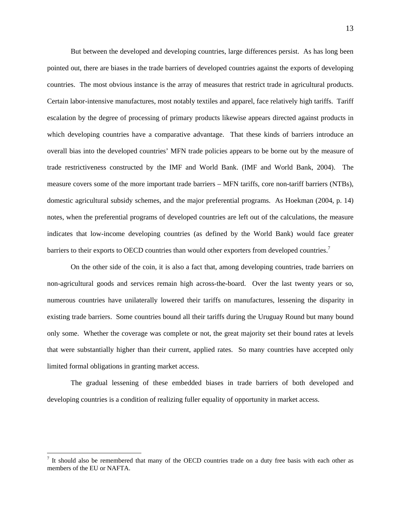But between the developed and developing countries, large differences persist. As has long been pointed out, there are biases in the trade barriers of developed countries against the exports of developing countries. The most obvious instance is the array of measures that restrict trade in agricultural products. Certain labor-intensive manufactures, most notably textiles and apparel, face relatively high tariffs. Tariff escalation by the degree of processing of primary products likewise appears directed against products in which developing countries have a comparative advantage. That these kinds of barriers introduce an overall bias into the developed countries' MFN trade policies appears to be borne out by the measure of trade restrictiveness constructed by the IMF and World Bank. (IMF and World Bank, 2004). The measure covers some of the more important trade barriers – MFN tariffs, core non-tariff barriers (NTBs), domestic agricultural subsidy schemes, and the major preferential programs. As Hoekman (2004, p. 14) notes, when the preferential programs of developed countries are left out of the calculations, the measure indicates that low-income developing countries (as defined by the World Bank) would face greater barriers to their exports to OECD countries than would other exporters from developed countries.<sup>[7](#page-14-0)</sup>

On the other side of the coin, it is also a fact that, among developing countries, trade barriers on non-agricultural goods and services remain high across-the-board. Over the last twenty years or so, numerous countries have unilaterally lowered their tariffs on manufactures, lessening the disparity in existing trade barriers. Some countries bound all their tariffs during the Uruguay Round but many bound only some. Whether the coverage was complete or not, the great majority set their bound rates at levels that were substantially higher than their current, applied rates. So many countries have accepted only limited formal obligations in granting market access.

The gradual lessening of these embedded biases in trade barriers of both developed and developing countries is a condition of realizing fuller equality of opportunity in market access.

<span id="page-14-0"></span><sup>&</sup>lt;sup>7</sup> It should also be remembered that many of the OECD countries trade on a duty free basis with each other as members of the EU or NAFTA.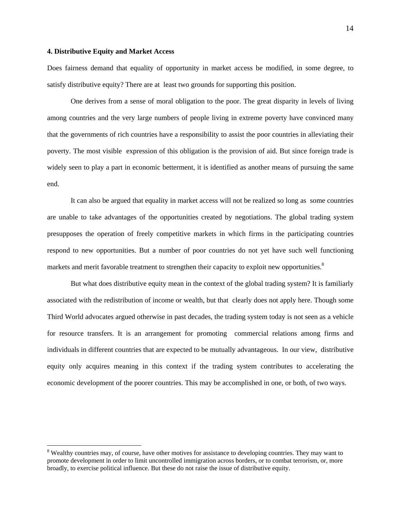### **4. Distributive Equity and Market Access**

 $\overline{a}$ 

Does fairness demand that equality of opportunity in market access be modified, in some degree, to satisfy distributive equity? There are at least two grounds for supporting this position.

One derives from a sense of moral obligation to the poor. The great disparity in levels of living among countries and the very large numbers of people living in extreme poverty have convinced many that the governments of rich countries have a responsibility to assist the poor countries in alleviating their poverty. The most visible expression of this obligation is the provision of aid. But since foreign trade is widely seen to play a part in economic betterment, it is identified as another means of pursuing the same end.

It can also be argued that equality in market access will not be realized so long as some countries are unable to take advantages of the opportunities created by negotiations. The global trading system presupposes the operation of freely competitive markets in which firms in the participating countries respond to new opportunities. But a number of poor countries do not yet have such well functioning markets and merit favorable treatment to strengthen their capacity to exploit new opportunities.<sup>[8](#page-15-0)</sup>

But what does distributive equity mean in the context of the global trading system? It is familiarly associated with the redistribution of income or wealth, but that clearly does not apply here. Though some Third World advocates argued otherwise in past decades, the trading system today is not seen as a vehicle for resource transfers. It is an arrangement for promoting commercial relations among firms and individuals in different countries that are expected to be mutually advantageous. In our view, distributive equity only acquires meaning in this context if the trading system contributes to accelerating the economic development of the poorer countries. This may be accomplished in one, or both, of two ways.

<span id="page-15-0"></span><sup>&</sup>lt;sup>8</sup> Wealthy countries may, of course, have other motives for assistance to developing countries. They may want to promote development in order to limit uncontrolled immigration across borders, or to combat terrorism, or, more broadly, to exercise political influence. But these do not raise the issue of distributive equity.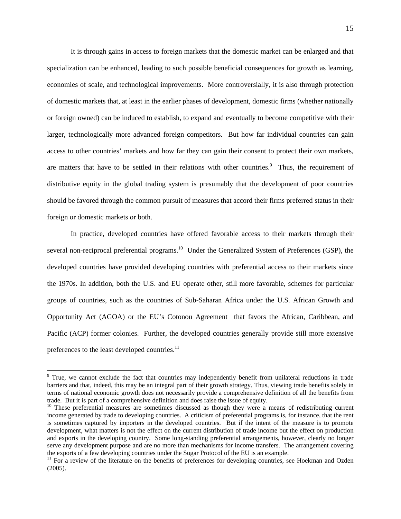It is through gains in access to foreign markets that the domestic market can be enlarged and that specialization can be enhanced, leading to such possible beneficial consequences for growth as learning, economies of scale, and technological improvements. More controversially, it is also through protection of domestic markets that, at least in the earlier phases of development, domestic firms (whether nationally or foreign owned) can be induced to establish, to expand and eventually to become competitive with their larger, technologically more advanced foreign competitors. But how far individual countries can gain access to other countries' markets and how far they can gain their consent to protect their own markets, are matters that have to be settled in their relations with other countries.<sup>9</sup> Thus, the requirement of distributive equity in the global trading system is presumably that the development of poor countries should be favored through the common pursuit of measures that accord their firms preferred status in their foreign or domestic markets or both.

In practice, developed countries have offered favorable access to their markets through their several non-reciprocal preferential programs.<sup>10</sup> Under the Generalized System of Preferences (GSP), the developed countries have provided developing countries with preferential access to their markets since the 1970s. In addition, both the U.S. and EU operate other, still more favorable, schemes for particular groups of countries, such as the countries of Sub-Saharan Africa under the U.S. African Growth and Opportunity Act (AGOA) or the EU's Cotonou Agreement that favors the African, Caribbean, and Pacific (ACP) former colonies. Further, the developed countries generally provide still more extensive preferences to the least developed countries.<sup>11</sup>

<span id="page-16-0"></span><sup>&</sup>lt;sup>9</sup> True, we cannot exclude the fact that countries may independently benefit from unilateral reductions in trade barriers and that, indeed, this may be an integral part of their growth strategy. Thus, viewing trade benefits solely in terms of national economic growth does not necessarily provide a comprehensive definition of all the benefits from trade. But it is part of a comprehensive definition and does raise the issue of equity.<br><sup>10</sup> These preferential measures are sometimes discussed as though they were a means of redistributing current

<span id="page-16-1"></span>income generated by trade to developing countries. A criticism of preferential programs is, for instance, that the rent is sometimes captured by importers in the developed countries. But if the intent of the measure is to promote development, what matters is not the effect on the current distribution of trade income but the effect on production and exports in the developing country. Some long-standing preferential arrangements, however, clearly no longer serve any development purpose and are no more than mechanisms for income transfers. The arrangement covering the exports of a few developing countries under the Sugar Protocol of the EU is an example.<br><sup>11</sup> For a review of the literature on the benefits of preferences for developing countries, see Hoekman and Ozden

<span id="page-16-2"></span><sup>(2005).</sup>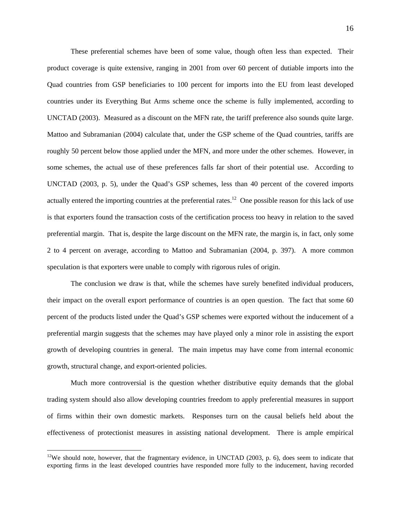These preferential schemes have been of some value, though often less than expected. Their product coverage is quite extensive, ranging in 2001 from over 60 percent of dutiable imports into the Quad countries from GSP beneficiaries to 100 percent for imports into the EU from least developed countries under its Everything But Arms scheme once the scheme is fully implemented, according to UNCTAD (2003). Measured as a discount on the MFN rate, the tariff preference also sounds quite large. Mattoo and Subramanian (2004) calculate that, under the GSP scheme of the Quad countries, tariffs are roughly 50 percent below those applied under the MFN, and more under the other schemes. However, in some schemes, the actual use of these preferences falls far short of their potential use. According to UNCTAD (2003, p. 5), under the Quad's GSP schemes, less than 40 percent of the covered imports actually entered the importing countries at the preferential rates.<sup>12</sup> One possible reason for this lack of use is that exporters found the transaction costs of the certification process too heavy in relation to the saved preferential margin. That is, despite the large discount on the MFN rate, the margin is, in fact, only some 2 to 4 percent on average, according to Mattoo and Subramanian (2004, p. 397). A more common speculation is that exporters were unable to comply with rigorous rules of origin.

The conclusion we draw is that, while the schemes have surely benefited individual producers, their impact on the overall export performance of countries is an open question. The fact that some 60 percent of the products listed under the Quad's GSP schemes were exported without the inducement of a preferential margin suggests that the schemes may have played only a minor role in assisting the export growth of developing countries in general. The main impetus may have come from internal economic growth, structural change, and export-oriented policies.

Much more controversial is the question whether distributive equity demands that the global trading system should also allow developing countries freedom to apply preferential measures in support of firms within their own domestic markets. Responses turn on the causal beliefs held about the effectiveness of protectionist measures in assisting national development. There is ample empirical

<span id="page-17-0"></span> $12$ We should note, however, that the fragmentary evidence, in UNCTAD (2003, p. 6), does seem to indicate that exporting firms in the least developed countries have responded more fully to the inducement, having recorded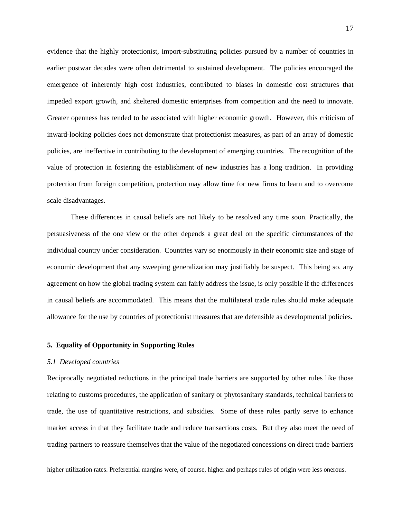evidence that the highly protectionist, import-substituting policies pursued by a number of countries in earlier postwar decades were often detrimental to sustained development. The policies encouraged the emergence of inherently high cost industries, contributed to biases in domestic cost structures that impeded export growth, and sheltered domestic enterprises from competition and the need to innovate. Greater openness has tended to be associated with higher economic growth. However, this criticism of inward-looking policies does not demonstrate that protectionist measures, as part of an array of domestic policies, are ineffective in contributing to the development of emerging countries. The recognition of the value of protection in fostering the establishment of new industries has a long tradition. In providing protection from foreign competition, protection may allow time for new firms to learn and to overcome scale disadvantages.

These differences in causal beliefs are not likely to be resolved any time soon. Practically, the persuasiveness of the one view or the other depends a great deal on the specific circumstances of the individual country under consideration. Countries vary so enormously in their economic size and stage of economic development that any sweeping generalization may justifiably be suspect. This being so, any agreement on how the global trading system can fairly address the issue, is only possible if the differences in causal beliefs are accommodated. This means that the multilateral trade rules should make adequate allowance for the use by countries of protectionist measures that are defensible as developmental policies.

#### **5. Equality of Opportunity in Supporting Rules**

#### *5.1 Developed countries*

Reciprocally negotiated reductions in the principal trade barriers are supported by other rules like those relating to customs procedures, the application of sanitary or phytosanitary standards, technical barriers to trade, the use of quantitative restrictions, and subsidies. Some of these rules partly serve to enhance market access in that they facilitate trade and reduce transactions costs. But they also meet the need of trading partners to reassure themselves that the value of the negotiated concessions on direct trade barriers

higher utilization rates. Preferential margins were, of course, higher and perhaps rules of origin were less onerous.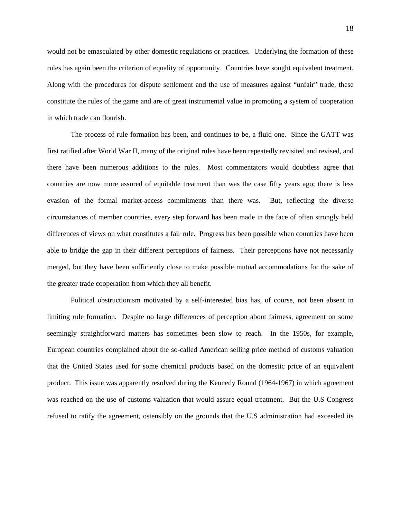would not be emasculated by other domestic regulations or practices. Underlying the formation of these rules has again been the criterion of equality of opportunity. Countries have sought equivalent treatment. Along with the procedures for dispute settlement and the use of measures against "unfair" trade, these constitute the rules of the game and are of great instrumental value in promoting a system of cooperation in which trade can flourish.

The process of rule formation has been, and continues to be, a fluid one. Since the GATT was first ratified after World War II, many of the original rules have been repeatedly revisited and revised, and there have been numerous additions to the rules. Most commentators would doubtless agree that countries are now more assured of equitable treatment than was the case fifty years ago; there is less evasion of the formal market-access commitments than there was. But, reflecting the diverse circumstances of member countries, every step forward has been made in the face of often strongly held differences of views on what constitutes a fair rule. Progress has been possible when countries have been able to bridge the gap in their different perceptions of fairness. Their perceptions have not necessarily merged, but they have been sufficiently close to make possible mutual accommodations for the sake of the greater trade cooperation from which they all benefit.

Political obstructionism motivated by a self-interested bias has, of course, not been absent in limiting rule formation. Despite no large differences of perception about fairness, agreement on some seemingly straightforward matters has sometimes been slow to reach. In the 1950s, for example, European countries complained about the so-called American selling price method of customs valuation that the United States used for some chemical products based on the domestic price of an equivalent product. This issue was apparently resolved during the Kennedy Round (1964-1967) in which agreement was reached on the use of customs valuation that would assure equal treatment. But the U.S Congress refused to ratify the agreement, ostensibly on the grounds that the U.S administration had exceeded its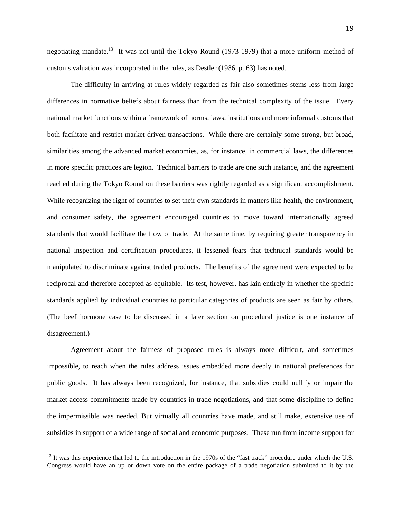negotiating mandate.<sup>13</sup> It was not until the Tokyo Round (1973-1979) that a more uniform method of customs valuation was incorporated in the rules, as Destler (1986, p. 63) has noted.

The difficulty in arriving at rules widely regarded as fair also sometimes stems less from large differences in normative beliefs about fairness than from the technical complexity of the issue. Every national market functions within a framework of norms, laws, institutions and more informal customs that both facilitate and restrict market-driven transactions. While there are certainly some strong, but broad, similarities among the advanced market economies, as, for instance, in commercial laws, the differences in more specific practices are legion. Technical barriers to trade are one such instance, and the agreement reached during the Tokyo Round on these barriers was rightly regarded as a significant accomplishment. While recognizing the right of countries to set their own standards in matters like health, the environment, and consumer safety, the agreement encouraged countries to move toward internationally agreed standards that would facilitate the flow of trade. At the same time, by requiring greater transparency in national inspection and certification procedures, it lessened fears that technical standards would be manipulated to discriminate against traded products. The benefits of the agreement were expected to be reciprocal and therefore accepted as equitable. Its test, however, has lain entirely in whether the specific standards applied by individual countries to particular categories of products are seen as fair by others. (The beef hormone case to be discussed in a later section on procedural justice is one instance of disagreement.)

Agreement about the fairness of proposed rules is always more difficult, and sometimes impossible, to reach when the rules address issues embedded more deeply in national preferences for public goods. It has always been recognized, for instance, that subsidies could nullify or impair the market-access commitments made by countries in trade negotiations, and that some discipline to define the impermissible was needed. But virtually all countries have made, and still make, extensive use of subsidies in support of a wide range of social and economic purposes. These run from income support for

<span id="page-20-0"></span> $^{13}$  It was this experience that led to the introduction in the 1970s of the "fast track" procedure under which the U.S. Congress would have an up or down vote on the entire package of a trade negotiation submitted to it by the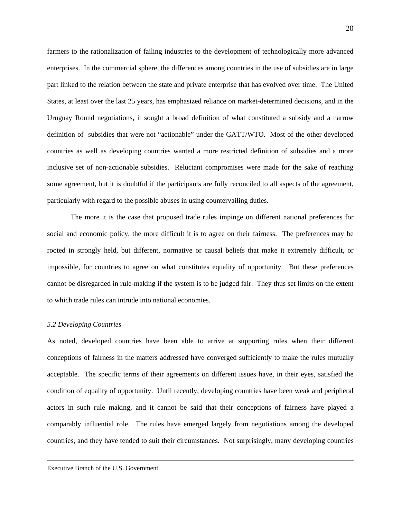farmers to the rationalization of failing industries to the development of technologically more advanced enterprises. In the commercial sphere, the differences among countries in the use of subsidies are in large part linked to the relation between the state and private enterprise that has evolved over time. The United States, at least over the last 25 years, has emphasized reliance on market-determined decisions, and in the Uruguay Round negotiations, it sought a broad definition of what constituted a subsidy and a narrow definition of subsidies that were not "actionable" under the GATT/WTO. Most of the other developed countries as well as developing countries wanted a more restricted definition of subsidies and a more inclusive set of non-actionable subsidies. Reluctant compromises were made for the sake of reaching some agreement, but it is doubtful if the participants are fully reconciled to all aspects of the agreement, particularly with regard to the possible abuses in using countervailing duties.

The more it is the case that proposed trade rules impinge on different national preferences for social and economic policy, the more difficult it is to agree on their fairness. The preferences may be rooted in strongly held, but different, normative or causal beliefs that make it extremely difficult, or impossible, for countries to agree on what constitutes equality of opportunity. But these preferences cannot be disregarded in rule-making if the system is to be judged fair. They thus set limits on the extent to which trade rules can intrude into national economies.

# *5.2 Developing Countries*

As noted, developed countries have been able to arrive at supporting rules when their different conceptions of fairness in the matters addressed have converged sufficiently to make the rules mutually acceptable. The specific terms of their agreements on different issues have, in their eyes, satisfied the condition of equality of opportunity. Until recently, developing countries have been weak and peripheral actors in such rule making, and it cannot be said that their conceptions of fairness have played a comparably influential role. The rules have emerged largely from negotiations among the developed countries, and they have tended to suit their circumstances. Not surprisingly, many developing countries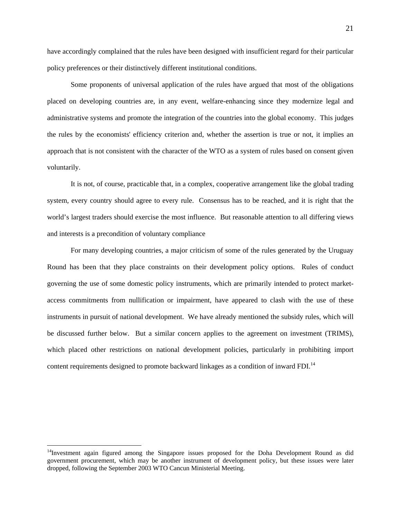have accordingly complained that the rules have been designed with insufficient regard for their particular policy preferences or their distinctively different institutional conditions.

Some proponents of universal application of the rules have argued that most of the obligations placed on developing countries are, in any event, welfare-enhancing since they modernize legal and administrative systems and promote the integration of the countries into the global economy. This judges the rules by the economists' efficiency criterion and, whether the assertion is true or not, it implies an approach that is not consistent with the character of the WTO as a system of rules based on consent given voluntarily.

It is not, of course, practicable that, in a complex, cooperative arrangement like the global trading system, every country should agree to every rule. Consensus has to be reached, and it is right that the world's largest traders should exercise the most influence. But reasonable attention to all differing views and interests is a precondition of voluntary compliance

For many developing countries, a major criticism of some of the rules generated by the Uruguay Round has been that they place constraints on their development policy options. Rules of conduct governing the use of some domestic policy instruments, which are primarily intended to protect marketaccess commitments from nullification or impairment, have appeared to clash with the use of these instruments in pursuit of national development. We have already mentioned the subsidy rules, which will be discussed further below. But a similar concern applies to the agreement on investment (TRIMS), which placed other restrictions on national development policies, particularly in prohibiting import content requirements designed to promote backward linkages as a condition of inward FDI.<sup>[14](#page-22-0)</sup>

<span id="page-22-0"></span><sup>&</sup>lt;sup>14</sup>Investment again figured among the Singapore issues proposed for the Doha Development Round as did government procurement, which may be another instrument of development policy, but these issues were later dropped, following the September 2003 WTO Cancun Ministerial Meeting.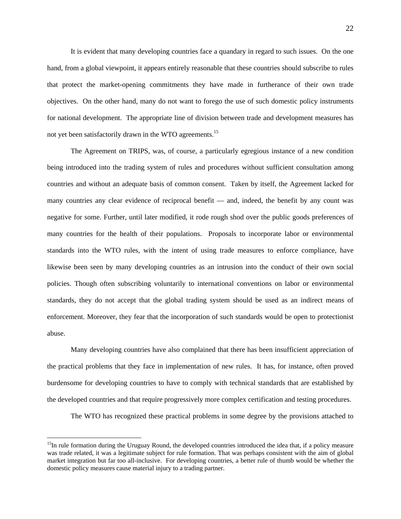It is evident that many developing countries face a quandary in regard to such issues. On the one hand, from a global viewpoint, it appears entirely reasonable that these countries should subscribe to rules that protect the market-opening commitments they have made in furtherance of their own trade objectives. On the other hand, many do not want to forego the use of such domestic policy instruments for national development. The appropriate line of division between trade and development measures has not yet been satisfactorily drawn in the WTO agreements.<sup>15</sup>

The Agreement on TRIPS, was, of course, a particularly egregious instance of a new condition being introduced into the trading system of rules and procedures without sufficient consultation among countries and without an adequate basis of common consent. Taken by itself, the Agreement lacked for many countries any clear evidence of reciprocal benefit — and, indeed, the benefit by any count was negative for some. Further, until later modified, it rode rough shod over the public goods preferences of many countries for the health of their populations. Proposals to incorporate labor or environmental standards into the WTO rules, with the intent of using trade measures to enforce compliance, have likewise been seen by many developing countries as an intrusion into the conduct of their own social policies. Though often subscribing voluntarily to international conventions on labor or environmental standards, they do not accept that the global trading system should be used as an indirect means of enforcement. Moreover, they fear that the incorporation of such standards would be open to protectionist abuse.

Many developing countries have also complained that there has been insufficient appreciation of the practical problems that they face in implementation of new rules. It has, for instance, often proved burdensome for developing countries to have to comply with technical standards that are established by the developed countries and that require progressively more complex certification and testing procedures.

The WTO has recognized these practical problems in some degree by the provisions attached to

<span id="page-23-0"></span> $<sup>15</sup>$ In rule formation during the Uruguay Round, the developed countries introduced the idea that, if a policy measure</sup> was trade related, it was a legitimate subject for rule formation. That was perhaps consistent with the aim of global market integration but far too all-inclusive. For developing countries, a better rule of thumb would be whether the domestic policy measures cause material injury to a trading partner.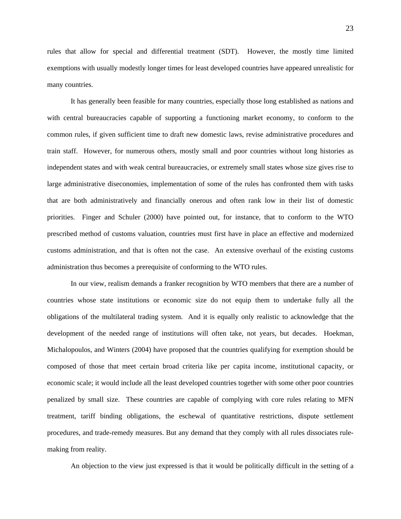rules that allow for special and differential treatment (SDT). However, the mostly time limited exemptions with usually modestly longer times for least developed countries have appeared unrealistic for many countries.

It has generally been feasible for many countries, especially those long established as nations and with central bureaucracies capable of supporting a functioning market economy, to conform to the common rules, if given sufficient time to draft new domestic laws, revise administrative procedures and train staff. However, for numerous others, mostly small and poor countries without long histories as independent states and with weak central bureaucracies, or extremely small states whose size gives rise to large administrative diseconomies, implementation of some of the rules has confronted them with tasks that are both administratively and financially onerous and often rank low in their list of domestic priorities. Finger and Schuler (2000) have pointed out, for instance, that to conform to the WTO prescribed method of customs valuation, countries must first have in place an effective and modernized customs administration, and that is often not the case. An extensive overhaul of the existing customs administration thus becomes a prerequisite of conforming to the WTO rules.

In our view, realism demands a franker recognition by WTO members that there are a number of countries whose state institutions or economic size do not equip them to undertake fully all the obligations of the multilateral trading system. And it is equally only realistic to acknowledge that the development of the needed range of institutions will often take, not years, but decades. Hoekman, Michalopoulos, and Winters (2004) have proposed that the countries qualifying for exemption should be composed of those that meet certain broad criteria like per capita income, institutional capacity, or economic scale; it would include all the least developed countries together with some other poor countries penalized by small size. These countries are capable of complying with core rules relating to MFN treatment, tariff binding obligations, the eschewal of quantitative restrictions, dispute settlement procedures, and trade-remedy measures. But any demand that they comply with all rules dissociates rulemaking from reality.

An objection to the view just expressed is that it would be politically difficult in the setting of a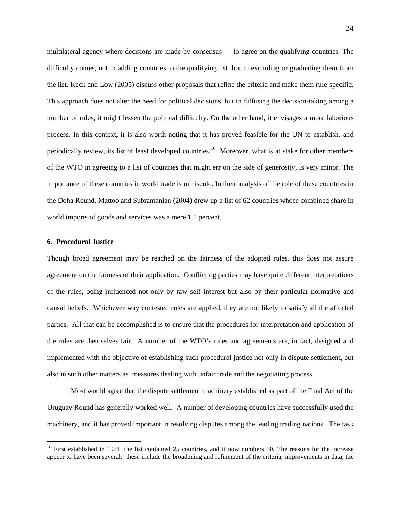multilateral agency where decisions are made by consensus — to agree on the qualifying countries. The difficulty comes, not in adding countries to the qualifying list, but in excluding or graduating them from the list. Keck and Low (2005) discuss other proposals that refine the criteria and make them rule-specific. This approach does not alter the need for political decisions, but in diffusing the decision-taking among a number of rules, it might lessen the political difficulty. On the other hand, it envisages a more laborious process. In this context, it is also worth noting that it has proved feasible for the UN to establish, and periodically review, its list of least developed countries.[16](#page-25-0) Moreover, what is at stake for other members of the WTO in agreeing to a list of countries that might err on the side of generosity, is very minor. The importance of these countries in world trade is miniscule. In their analysis of the role of these countries in the Doha Round, Mattoo and Subramanian (2004) drew up a list of 62 countries whose combined share in world imports of goods and services was a mere 1.1 percent.

# **6. Procedural Justice**

 $\overline{a}$ 

Though broad agreement may be reached on the fairness of the adopted rules, this does not assure agreement on the fairness of their application. Conflicting parties may have quite different interpretations of the rules, being influenced not only by raw self interest but also by their particular normative and causal beliefs. Whichever way contested rules are applied, they are not likely to satisfy all the affected parties. All that can be accomplished is to ensure that the procedures for interpretation and application of the rules are themselves fair. A number of the WTO's rules and agreements are, in fact, designed and implemented with the objective of establishing such procedural justice not only in dispute settlement, but also in such other matters as measures dealing with unfair trade and the negotiating process.

Most would agree that the dispute settlement machinery established as part of the Final Act of the Uruguay Round has generally worked well. A number of developing countries have successfully used the machinery, and it has proved important in resolving disputes among the leading trading nations. The task

<span id="page-25-0"></span><sup>&</sup>lt;sup>16</sup> First established in 1971, the list contained 25 countries, and it now numbers 50. The reasons for the increase appear to have been several; these include the broadening and refinement of the criteria, improvements in data, the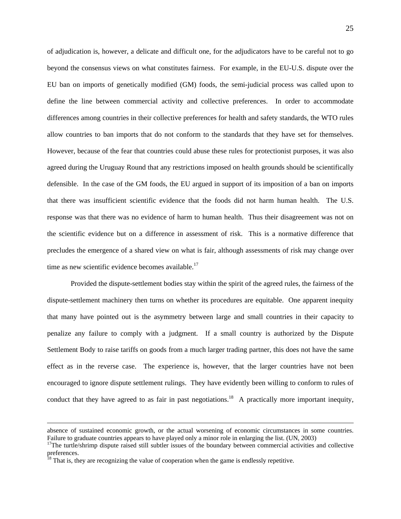of adjudication is, however, a delicate and difficult one, for the adjudicators have to be careful not to go beyond the consensus views on what constitutes fairness. For example, in the EU-U.S. dispute over the EU ban on imports of genetically modified (GM) foods, the semi-judicial process was called upon to define the line between commercial activity and collective preferences. In order to accommodate differences among countries in their collective preferences for health and safety standards, the WTO rules allow countries to ban imports that do not conform to the standards that they have set for themselves. However, because of the fear that countries could abuse these rules for protectionist purposes, it was also agreed during the Uruguay Round that any restrictions imposed on health grounds should be scientifically defensible. In the case of the GM foods, the EU argued in support of its imposition of a ban on imports that there was insufficient scientific evidence that the foods did not harm human health. The U.S. response was that there was no evidence of harm to human health. Thus their disagreement was not on the scientific evidence but on a difference in assessment of risk. This is a normative difference that precludes the emergence of a shared view on what is fair, although assessments of risk may change over time as new scientific evidence becomes available.<sup>17</sup>

Provided the dispute-settlement bodies stay within the spirit of the agreed rules, the fairness of the dispute-settlement machinery then turns on whether its procedures are equitable. One apparent inequity that many have pointed out is the asymmetry between large and small countries in their capacity to penalize any failure to comply with a judgment. If a small country is authorized by the Dispute Settlement Body to raise tariffs on goods from a much larger trading partner, this does not have the same effect as in the reverse case. The experience is, however, that the larger countries have not been encouraged to ignore dispute settlement rulings. They have evidently been willing to conform to rules of conduct that they have agreed to as fair in past negotiations.<sup>18</sup> A practically more important inequity,

absence of sustained economic growth, or the actual worsening of economic circumstances in some countries. Failure to graduate countries appears to have played only a minor role in enlarging the list. (UN, 2003)<br><sup>17</sup>The turtle/shrimp dispute raised still subtler issues of the boundary between commercial activities and collectiv

<span id="page-26-0"></span>preferences.<br><sup>18</sup> That is, they are recognizing the value of cooperation when the game is endlessly repetitive.

<span id="page-26-1"></span>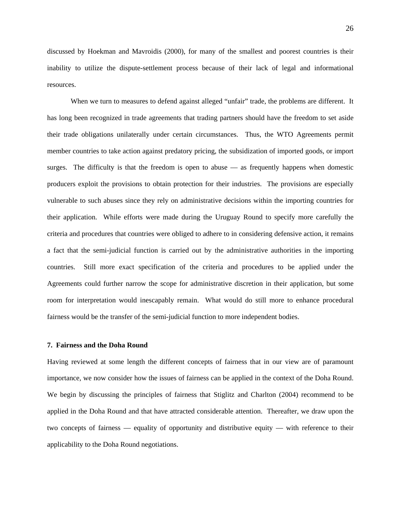discussed by Hoekman and Mavroidis (2000), for many of the smallest and poorest countries is their inability to utilize the dispute-settlement process because of their lack of legal and informational resources.

When we turn to measures to defend against alleged "unfair" trade, the problems are different. It has long been recognized in trade agreements that trading partners should have the freedom to set aside their trade obligations unilaterally under certain circumstances. Thus, the WTO Agreements permit member countries to take action against predatory pricing, the subsidization of imported goods, or import surges. The difficulty is that the freedom is open to abuse — as frequently happens when domestic producers exploit the provisions to obtain protection for their industries. The provisions are especially vulnerable to such abuses since they rely on administrative decisions within the importing countries for their application. While efforts were made during the Uruguay Round to specify more carefully the criteria and procedures that countries were obliged to adhere to in considering defensive action, it remains a fact that the semi-judicial function is carried out by the administrative authorities in the importing countries. Still more exact specification of the criteria and procedures to be applied under the Agreements could further narrow the scope for administrative discretion in their application, but some room for interpretation would inescapably remain. What would do still more to enhance procedural fairness would be the transfer of the semi-judicial function to more independent bodies.

#### **7. Fairness and the Doha Round**

Having reviewed at some length the different concepts of fairness that in our view are of paramount importance, we now consider how the issues of fairness can be applied in the context of the Doha Round. We begin by discussing the principles of fairness that Stiglitz and Charlton (2004) recommend to be applied in the Doha Round and that have attracted considerable attention. Thereafter, we draw upon the two concepts of fairness — equality of opportunity and distributive equity — with reference to their applicability to the Doha Round negotiations.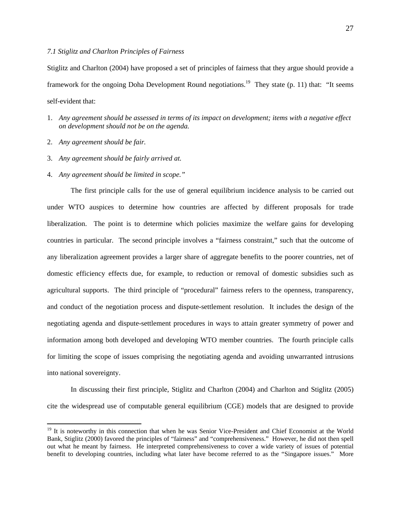# *7.1 Stiglitz and Charlton Principles of Fairness*

Stiglitz and Charlton (2004) have proposed a set of principles of fairness that they argue should provide a framework for the ongoing Doha Development Round negotiations.<sup>19</sup> They state (p. 11) that: "It seems self-evident that:

- 1. *Any agreement should be assessed in terms of its impact on development; items with a negative effect on development should not be on the agenda.*
- 2. *Any agreement should be fair.*

 $\overline{a}$ 

- 3. *Any agreement should be fairly arrived at.*
- 4. *Any agreement should be limited in scope."*

The first principle calls for the use of general equilibrium incidence analysis to be carried out under WTO auspices to determine how countries are affected by different proposals for trade liberalization. The point is to determine which policies maximize the welfare gains for developing countries in particular. The second principle involves a "fairness constraint," such that the outcome of any liberalization agreement provides a larger share of aggregate benefits to the poorer countries, net of domestic efficiency effects due, for example, to reduction or removal of domestic subsidies such as agricultural supports. The third principle of "procedural" fairness refers to the openness, transparency, and conduct of the negotiation process and dispute-settlement resolution. It includes the design of the negotiating agenda and dispute-settlement procedures in ways to attain greater symmetry of power and information among both developed and developing WTO member countries. The fourth principle calls for limiting the scope of issues comprising the negotiating agenda and avoiding unwarranted intrusions into national sovereignty.

In discussing their first principle, Stiglitz and Charlton (2004) and Charlton and Stiglitz (2005) cite the widespread use of computable general equilibrium (CGE) models that are designed to provide

<span id="page-28-0"></span><sup>&</sup>lt;sup>19</sup> It is noteworthy in this connection that when he was Senior Vice-President and Chief Economist at the World Bank, Stiglitz (2000) favored the principles of "fairness" and "comprehensiveness." However, he did not then spell out what he meant by fairness. He interpreted comprehensiveness to cover a wide variety of issues of potential benefit to developing countries, including what later have become referred to as the "Singapore issues." More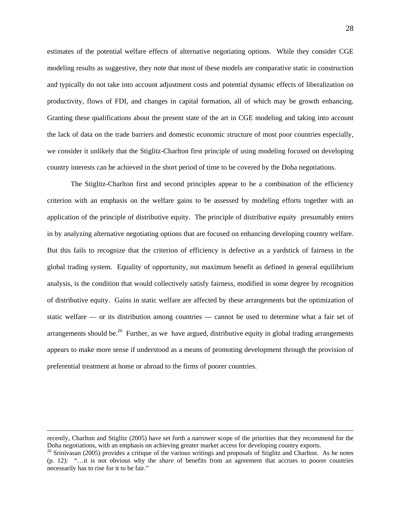estimates of the potential welfare effects of alternative negotiating options. While they consider CGE modeling results as suggestive, they note that most of these models are comparative static in construction and typically do not take into account adjustment costs and potential dynamic effects of liberalization on productivity, flows of FDI, and changes in capital formation, all of which may be growth enhancing. Granting these qualifications about the present state of the art in CGE modeling and taking into account the lack of data on the trade barriers and domestic economic structure of most poor countries especially, we consider it unlikely that the Stiglitz-Charlton first principle of using modeling focused on developing country interests can be achieved in the short period of time to be covered by the Doha negotiations.

The Stiglitz-Charlton first and second principles appear to be a combination of the efficiency criterion with an emphasis on the welfare gains to be assessed by modeling efforts together with an application of the principle of distributive equity. The principle of distributive equity presumably enters in by analyzing alternative negotiating options that are focused on enhancing developing country welfare. But this fails to recognize that the criterion of efficiency is defective as a yardstick of fairness in the global trading system. Equality of opportunity, not maximum benefit as defined in general equilibrium analysis, is the condition that would collectively satisfy fairness, modified in some degree by recognition of distributive equity. Gains in static welfare are affected by these arrangements but the optimization of static welfare — or its distribution among countries — cannot be used to determine what a fair set of arrangements should be.<sup>20</sup> Further, as we have argued, distributive equity in global trading arrangements appears to make more sense if understood as a means of promoting development through the provision of preferential treatment at home or abroad to the firms of poorer countries.

recently, Charlton and Stiglitz (2005) have set forth a narrower scope of the priorities that they recommend for the Doha negotiations, with an emphasis on achieving greater market access for developing country exports.<br><sup>20</sup> Srinivasan (2005) provides a critique of the various writings and proposals of Stiglitz and Charlton. As he notes

<span id="page-29-0"></span><sup>(</sup>p. 12): "…it is not obvious why the *share* of benefits from an agreement that accrues to poorer countries necessarily has to rise for it to be fair."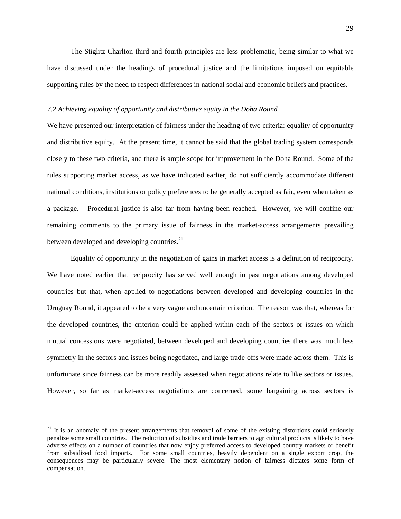The Stiglitz-Charlton third and fourth principles are less problematic, being similar to what we have discussed under the headings of procedural justice and the limitations imposed on equitable supporting rules by the need to respect differences in national social and economic beliefs and practices.

## *7.2 Achieving equality of opportunity and distributive equity in the Doha Round*

We have presented our interpretation of fairness under the heading of two criteria: equality of opportunity and distributive equity. At the present time, it cannot be said that the global trading system corresponds closely to these two criteria, and there is ample scope for improvement in the Doha Round. Some of the rules supporting market access, as we have indicated earlier, do not sufficiently accommodate different national conditions, institutions or policy preferences to be generally accepted as fair, even when taken as a package. Procedural justice is also far from having been reached. However, we will confine our remaining comments to the primary issue of fairness in the market-access arrangements prevailing between developed and developing countries.<sup>21</sup>

Equality of opportunity in the negotiation of gains in market access is a definition of reciprocity. We have noted earlier that reciprocity has served well enough in past negotiations among developed countries but that, when applied to negotiations between developed and developing countries in the Uruguay Round, it appeared to be a very vague and uncertain criterion. The reason was that, whereas for the developed countries, the criterion could be applied within each of the sectors or issues on which mutual concessions were negotiated, between developed and developing countries there was much less symmetry in the sectors and issues being negotiated, and large trade-offs were made across them. This is unfortunate since fairness can be more readily assessed when negotiations relate to like sectors or issues. However, so far as market-access negotiations are concerned, some bargaining across sectors is

<span id="page-30-0"></span> $21$  It is an anomaly of the present arrangements that removal of some of the existing distortions could seriously penalize some small countries. The reduction of subsidies and trade barriers to agricultural products is likely to have adverse effects on a number of countries that now enjoy preferred access to developed country markets or benefit from subsidized food imports. For some small countries, heavily dependent on a single export crop, the consequences may be particularly severe. The most elementary notion of fairness dictates some form of compensation.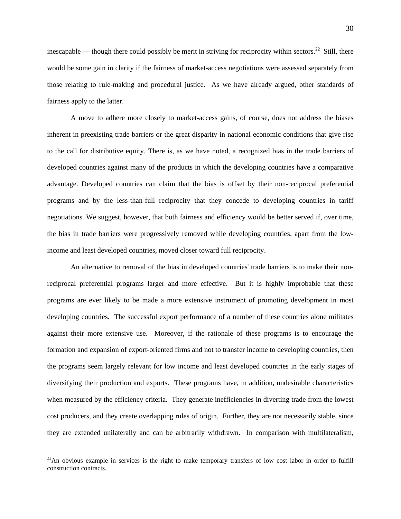inescapable — though there could possibly be merit in striving for reciprocity within sectors.<sup>22</sup> Still, there would be some gain in clarity if the fairness of market-access negotiations were assessed separately from those relating to rule-making and procedural justice. As we have already argued, other standards of fairness apply to the latter.

A move to adhere more closely to market-access gains, of course, does not address the biases inherent in preexisting trade barriers or the great disparity in national economic conditions that give rise to the call for distributive equity. There is, as we have noted, a recognized bias in the trade barriers of developed countries against many of the products in which the developing countries have a comparative advantage. Developed countries can claim that the bias is offset by their non-reciprocal preferential programs and by the less-than-full reciprocity that they concede to developing countries in tariff negotiations. We suggest, however, that both fairness and efficiency would be better served if, over time, the bias in trade barriers were progressively removed while developing countries, apart from the lowincome and least developed countries, moved closer toward full reciprocity.

An alternative to removal of the bias in developed countries' trade barriers is to make their nonreciprocal preferential programs larger and more effective. But it is highly improbable that these programs are ever likely to be made a more extensive instrument of promoting development in most developing countries. The successful export performance of a number of these countries alone militates against their more extensive use. Moreover, if the rationale of these programs is to encourage the formation and expansion of export-oriented firms and not to transfer income to developing countries, then the programs seem largely relevant for low income and least developed countries in the early stages of diversifying their production and exports. These programs have, in addition, undesirable characteristics when measured by the efficiency criteria. They generate inefficiencies in diverting trade from the lowest cost producers, and they create overlapping rules of origin. Further, they are not necessarily stable, since they are extended unilaterally and can be arbitrarily withdrawn. In comparison with multilateralism,

<span id="page-31-0"></span><sup>&</sup>lt;sup>22</sup>An obvious example in services is the right to make temporary transfers of low cost labor in order to fulfill construction contracts.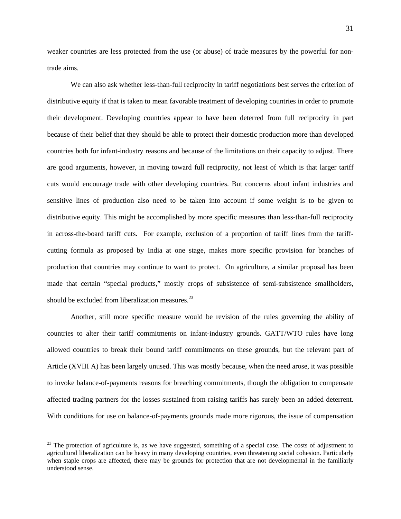weaker countries are less protected from the use (or abuse) of trade measures by the powerful for nontrade aims.

We can also ask whether less-than-full reciprocity in tariff negotiations best serves the criterion of distributive equity if that is taken to mean favorable treatment of developing countries in order to promote their development. Developing countries appear to have been deterred from full reciprocity in part because of their belief that they should be able to protect their domestic production more than developed countries both for infant-industry reasons and because of the limitations on their capacity to adjust. There are good arguments, however, in moving toward full reciprocity, not least of which is that larger tariff cuts would encourage trade with other developing countries. But concerns about infant industries and sensitive lines of production also need to be taken into account if some weight is to be given to distributive equity. This might be accomplished by more specific measures than less-than-full reciprocity in across-the-board tariff cuts. For example, exclusion of a proportion of tariff lines from the tariffcutting formula as proposed by India at one stage, makes more specific provision for branches of production that countries may continue to want to protect. On agriculture, a similar proposal has been made that certain "special products," mostly crops of subsistence of semi-subsistence smallholders, should be excluded from liberalization measures. $^{23}$ 

Another, still more specific measure would be revision of the rules governing the ability of countries to alter their tariff commitments on infant-industry grounds. GATT/WTO rules have long allowed countries to break their bound tariff commitments on these grounds, but the relevant part of Article (XVIII A) has been largely unused. This was mostly because, when the need arose, it was possible to invoke balance-of-payments reasons for breaching commitments, though the obligation to compensate affected trading partners for the losses sustained from raising tariffs has surely been an added deterrent. With conditions for use on balance-of-payments grounds made more rigorous, the issue of compensation

<span id="page-32-0"></span><sup>&</sup>lt;sup>23</sup> The protection of agriculture is, as we have suggested, something of a special case. The costs of adjustment to agricultural liberalization can be heavy in many developing countries, even threatening social cohesion. Particularly when staple crops are affected, there may be grounds for protection that are not developmental in the familiarly understood sense.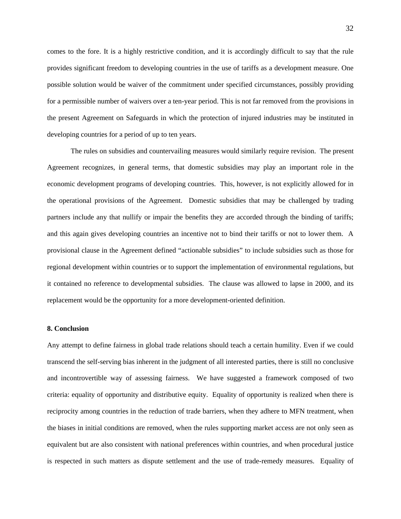comes to the fore. It is a highly restrictive condition, and it is accordingly difficult to say that the rule provides significant freedom to developing countries in the use of tariffs as a development measure. One possible solution would be waiver of the commitment under specified circumstances, possibly providing for a permissible number of waivers over a ten-year period. This is not far removed from the provisions in the present Agreement on Safeguards in which the protection of injured industries may be instituted in developing countries for a period of up to ten years.

The rules on subsidies and countervailing measures would similarly require revision. The present Agreement recognizes, in general terms, that domestic subsidies may play an important role in the economic development programs of developing countries. This, however, is not explicitly allowed for in the operational provisions of the Agreement. Domestic subsidies that may be challenged by trading partners include any that nullify or impair the benefits they are accorded through the binding of tariffs; and this again gives developing countries an incentive not to bind their tariffs or not to lower them. A provisional clause in the Agreement defined "actionable subsidies" to include subsidies such as those for regional development within countries or to support the implementation of environmental regulations, but it contained no reference to developmental subsidies. The clause was allowed to lapse in 2000, and its replacement would be the opportunity for a more development-oriented definition.

# **8. Conclusion**

Any attempt to define fairness in global trade relations should teach a certain humility. Even if we could transcend the self-serving bias inherent in the judgment of all interested parties, there is still no conclusive and incontrovertible way of assessing fairness. We have suggested a framework composed of two criteria: equality of opportunity and distributive equity. Equality of opportunity is realized when there is reciprocity among countries in the reduction of trade barriers, when they adhere to MFN treatment, when the biases in initial conditions are removed, when the rules supporting market access are not only seen as equivalent but are also consistent with national preferences within countries, and when procedural justice is respected in such matters as dispute settlement and the use of trade-remedy measures. Equality of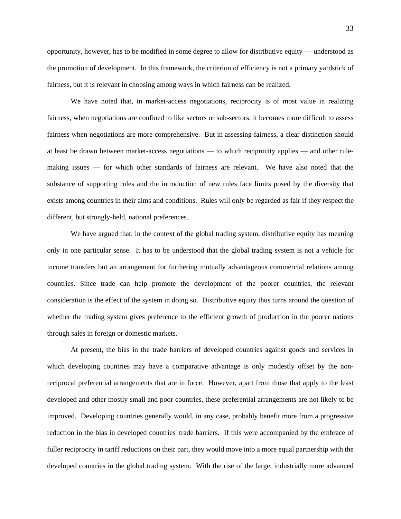opportunity, however, has to be modified in some degree to allow for distributive equity — understood as the promotion of development. In this framework, the criterion of efficiency is not a primary yardstick of fairness, but it is relevant in choosing among ways in which fairness can be realized.

We have noted that, in market-access negotiations, reciprocity is of most value in realizing fairness, when negotiations are confined to like sectors or sub-sectors; it becomes more difficult to assess fairness when negotiations are more comprehensive. But in assessing fairness, a clear distinction should at least be drawn between market-access negotiations — to which reciprocity applies — and other rulemaking issues — for which other standards of fairness are relevant. We have also noted that the substance of supporting rules and the introduction of new rules face limits posed by the diversity that exists among countries in their aims and conditions. Rules will only be regarded as fair if they respect the different, but strongly-held, national preferences.

We have argued that, in the context of the global trading system, distributive equity has meaning only in one particular sense. It has to be understood that the global trading system is not a vehicle for income transfers but an arrangement for furthering mutually advantageous commercial relations among countries. Since trade can help promote the development of the poorer countries, the relevant consideration is the effect of the system in doing so. Distributive equity thus turns around the question of whether the trading system gives preference to the efficient growth of production in the poorer nations through sales in foreign or domestic markets.

At present, the bias in the trade barriers of developed countries against goods and services in which developing countries may have a comparative advantage is only modestly offset by the nonreciprocal preferential arrangements that are in force. However, apart from those that apply to the least developed and other mostly small and poor countries, these preferential arrangements are not likely to be improved. Developing countries generally would, in any case, probably benefit more from a progressive reduction in the bias in developed countries' trade barriers. If this were accompanied by the embrace of fuller reciprocity in tariff reductions on their part, they would move into a more equal partnership with the developed countries in the global trading system. With the rise of the large, industrially more advanced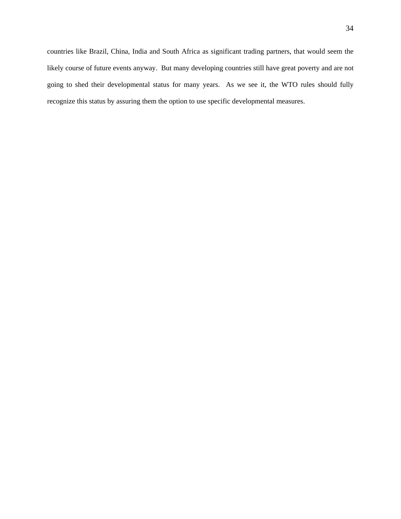countries like Brazil, China, India and South Africa as significant trading partners, that would seem the likely course of future events anyway. But many developing countries still have great poverty and are not going to shed their developmental status for many years. As we see it, the WTO rules should fully recognize this status by assuring them the option to use specific developmental measures.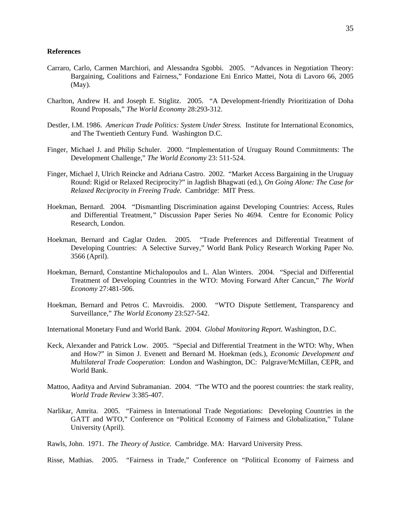- Carraro, Carlo, Carmen Marchiori, and Alessandra Sgobbi. 2005. "Advances in Negotiation Theory: Bargaining, Coalitions and Fairness," Fondazione Eni Enrico Mattei, Nota di Lavoro 66, 2005 (May).
- Charlton, Andrew H. and Joseph E. Stiglitz. 2005. "A Development-friendly Prioritization of Doha Round Proposals," *The World Economy* 28:293-312.
- Destler, I.M. 1986. *American Trade Politics: System Under Stress.* Institute for International Economics, and The Twentieth Century Fund. Washington D.C.
- Finger, Michael J. and Philip Schuler. 2000. "Implementation of Uruguay Round Commitments: The Development Challenge," *The World Economy* 23: 511-524.
- Finger, Michael J, Ulrich Reincke and Adriana Castro. 2002. "Market Access Bargaining in the Uruguay Round: Rigid or Relaxed Reciprocity?" in Jagdish Bhagwati (ed.), *On Going Alone: The Case for Relaxed Reciprocity in Freeing Trade.* Cambridge: MIT Press.
- Hoekman, Bernard. 2004. "Dismantling Discrimination against Developing Countries: Access, Rules and Differential Treatment,*"* Discussion Paper Series No 4694. Centre for Economic Policy Research, London.
- Hoekman, Bernard and Caglar Ozden. 2005. "Trade Preferences and Differential Treatment of Developing Countries: A Selective Survey," World Bank Policy Research Working Paper No. 3566 (April).
- Hoekman, Bernard, Constantine Michalopoulos and L. Alan Winters. 2004. "Special and Differential Treatment of Developing Countries in the WTO: Moving Forward After Cancun," *The World Economy* 27:481-506.
- Hoekman, Bernard and Petros C. Mavroidis. 2000. *"*WTO Dispute Settlement, Transparency and Surveillance," *The World Economy* 23:527-542.
- International Monetary Fund and World Bank. 2004. *Global Monitoring Report.* Washington, D.C.
- Keck, Alexander and Patrick Low. 2005. "Special and Differential Treatment in the WTO: Why, When and How?" in Simon J. Evenett and Bernard M. Hoekman (eds.), *Economic Development and Multilateral Trade Cooperation*: London and Washington, DC: Palgrave/McMillan, CEPR, and World Bank.
- Mattoo, Aaditya and Arvind Subramanian. 2004. "The WTO and the poorest countries: the stark reality, *World Trade Review* 3:385-407.
- Narlikar, Amrita. 2005. "Fairness in International Trade Negotiations: Developing Countries in the GATT and WTO," Conference on "Political Economy of Fairness and Globalization," Tulane University (April).

Rawls, John. 1971. *The Theory of Justice.* Cambridge. MA: Harvard University Press.

Risse, Mathias. 2005. "Fairness in Trade," Conference on "Political Economy of Fairness and